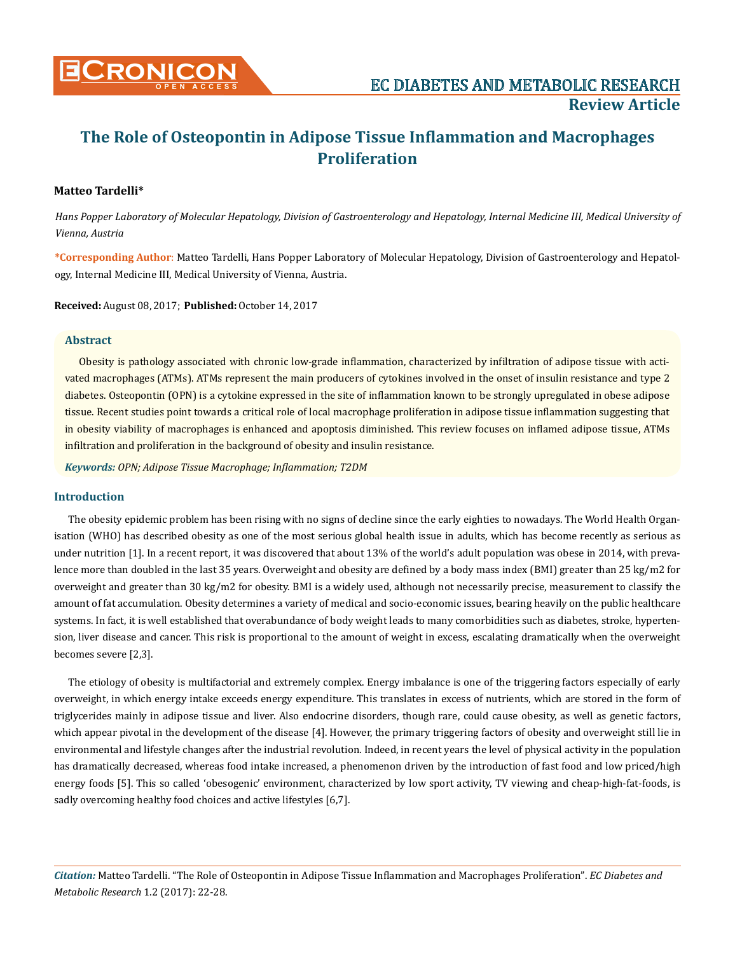

# **Matteo Tardelli\***

*Hans Popper Laboratory of Molecular Hepatology, Division of Gastroenterology and Hepatology, Internal Medicine III, Medical University of Vienna, Austria*

**\*Corresponding Author**: Matteo Tardelli, Hans Popper Laboratory of Molecular Hepatology, Division of Gastroenterology and Hepatology, Internal Medicine III, Medical University of Vienna, Austria.

**Received:** August 08, 2017; **Published:** October 14, 2017

## **Abstract**

Obesity is pathology associated with chronic low-grade inflammation, characterized by infiltration of adipose tissue with activated macrophages (ATMs). ATMs represent the main producers of cytokines involved in the onset of insulin resistance and type 2 diabetes. Osteopontin (OPN) is a cytokine expressed in the site of inflammation known to be strongly upregulated in obese adipose tissue. Recent studies point towards a critical role of local macrophage proliferation in adipose tissue inflammation suggesting that in obesity viability of macrophages is enhanced and apoptosis diminished. This review focuses on inflamed adipose tissue, ATMs infiltration and proliferation in the background of obesity and insulin resistance.

*Keywords: OPN; Adipose Tissue Macrophage; Inflammation; T2DM*

# **Introduction**

The obesity epidemic problem has been rising with no signs of decline since the early eighties to nowadays. The World Health Organisation (WHO) has described obesity as one of the most serious global health issue in adults, which has become recently as serious as under nutrition [1]. In a recent report, it was discovered that about 13% of the world's adult population was obese in 2014, with prevalence more than doubled in the last 35 years. Overweight and obesity are defined by a body mass index (BMI) greater than 25 kg/m2 for overweight and greater than 30 kg/m2 for obesity. BMI is a widely used, although not necessarily precise, measurement to classify the amount of fat accumulation. Obesity determines a variety of medical and socio-economic issues, bearing heavily on the public healthcare systems. In fact, it is well established that overabundance of body weight leads to many comorbidities such as diabetes, stroke, hypertension, liver disease and cancer. This risk is proportional to the amount of weight in excess, escalating dramatically when the overweight becomes severe [2,3].

The etiology of obesity is multifactorial and extremely complex. Energy imbalance is one of the triggering factors especially of early overweight, in which energy intake exceeds energy expenditure. This translates in excess of nutrients, which are stored in the form of triglycerides mainly in adipose tissue and liver. Also endocrine disorders, though rare, could cause obesity, as well as genetic factors, which appear pivotal in the development of the disease [4]. However, the primary triggering factors of obesity and overweight still lie in environmental and lifestyle changes after the industrial revolution. Indeed, in recent years the level of physical activity in the population has dramatically decreased, whereas food intake increased, a phenomenon driven by the introduction of fast food and low priced/high energy foods [5]. This so called 'obesogenic' environment, characterized by low sport activity, TV viewing and cheap-high-fat-foods, is sadly overcoming healthy food choices and active lifestyles [6,7].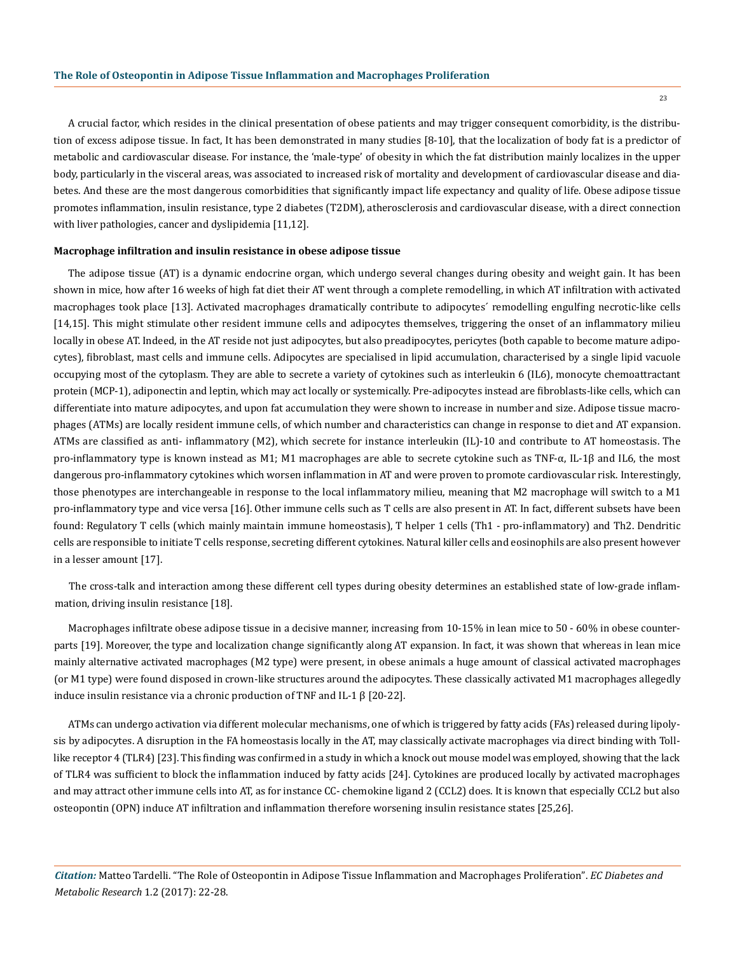A crucial factor, which resides in the clinical presentation of obese patients and may trigger consequent comorbidity, is the distribution of excess adipose tissue. In fact, It has been demonstrated in many studies [8-10], that the localization of body fat is a predictor of metabolic and cardiovascular disease. For instance, the 'male-type' of obesity in which the fat distribution mainly localizes in the upper body, particularly in the visceral areas, was associated to increased risk of mortality and development of cardiovascular disease and diabetes. And these are the most dangerous comorbidities that significantly impact life expectancy and quality of life. Obese adipose tissue promotes inflammation, insulin resistance, type 2 diabetes (T2DM), atherosclerosis and cardiovascular disease, with a direct connection with liver pathologies, cancer and dyslipidemia [11,12].

#### **Macrophage infiltration and insulin resistance in obese adipose tissue**

The adipose tissue (AT) is a dynamic endocrine organ, which undergo several changes during obesity and weight gain. It has been shown in mice, how after 16 weeks of high fat diet their AT went through a complete remodelling, in which AT infiltration with activated macrophages took place [13]. Activated macrophages dramatically contribute to adipocytes´ remodelling engulfing necrotic-like cells [14,15]. This might stimulate other resident immune cells and adipocytes themselves, triggering the onset of an inflammatory milieu locally in obese AT. Indeed, in the AT reside not just adipocytes, but also preadipocytes, pericytes (both capable to become mature adipocytes), fibroblast, mast cells and immune cells. Adipocytes are specialised in lipid accumulation, characterised by a single lipid vacuole occupying most of the cytoplasm. They are able to secrete a variety of cytokines such as interleukin 6 (IL6), monocyte chemoattractant protein (MCP-1), adiponectin and leptin, which may act locally or systemically. Pre-adipocytes instead are fibroblasts-like cells, which can differentiate into mature adipocytes, and upon fat accumulation they were shown to increase in number and size. Adipose tissue macrophages (ATMs) are locally resident immune cells, of which number and characteristics can change in response to diet and AT expansion. ATMs are classified as anti- inflammatory (M2), which secrete for instance interleukin (IL)-10 and contribute to AT homeostasis. The pro-inflammatory type is known instead as M1; M1 macrophages are able to secrete cytokine such as TNF-α, IL-1β and IL6, the most dangerous pro-inflammatory cytokines which worsen inflammation in AT and were proven to promote cardiovascular risk. Interestingly, those phenotypes are interchangeable in response to the local inflammatory milieu, meaning that M2 macrophage will switch to a M1 pro-inflammatory type and vice versa [16]. Other immune cells such as T cells are also present in AT. In fact, different subsets have been found: Regulatory T cells (which mainly maintain immune homeostasis), T helper 1 cells (Th1 - pro-inflammatory) and Th2. Dendritic cells are responsible to initiate T cells response, secreting different cytokines. Natural killer cells and eosinophils are also present however in a lesser amount [17].

The cross-talk and interaction among these different cell types during obesity determines an established state of low-grade inflammation, driving insulin resistance [18].

Macrophages infiltrate obese adipose tissue in a decisive manner, increasing from 10-15% in lean mice to 50 - 60% in obese counterparts [19]. Moreover, the type and localization change significantly along AT expansion. In fact, it was shown that whereas in lean mice mainly alternative activated macrophages (M2 type) were present, in obese animals a huge amount of classical activated macrophages (or M1 type) were found disposed in crown-like structures around the adipocytes. These classically activated M1 macrophages allegedly induce insulin resistance via a chronic production of TNF and IL-1 β [20-22].

ATMs can undergo activation via different molecular mechanisms, one of which is triggered by fatty acids (FAs) released during lipolysis by adipocytes. A disruption in the FA homeostasis locally in the AT, may classically activate macrophages via direct binding with Tolllike receptor 4 (TLR4) [23]. This finding was confirmed in a study in which a knock out mouse model was employed, showing that the lack of TLR4 was sufficient to block the inflammation induced by fatty acids [24]. Cytokines are produced locally by activated macrophages and may attract other immune cells into AT, as for instance CC- chemokine ligand 2 (CCL2) does. It is known that especially CCL2 but also osteopontin (OPN) induce AT infiltration and inflammation therefore worsening insulin resistance states [25,26].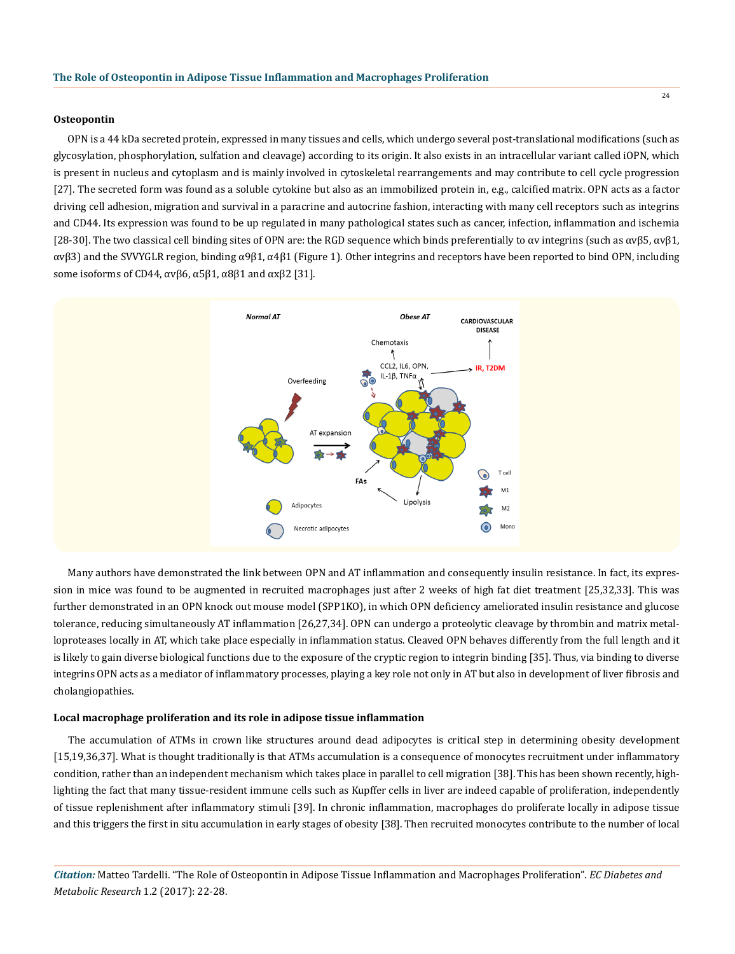#### **Osteopontin**

OPN is a 44 kDa secreted protein, expressed in many tissues and cells, which undergo several post-translational modifications (such as glycosylation, phosphorylation, sulfation and cleavage) according to its origin. It also exists in an intracellular variant called iOPN, which is present in nucleus and cytoplasm and is mainly involved in cytoskeletal rearrangements and may contribute to cell cycle progression [27]. The secreted form was found as a soluble cytokine but also as an immobilized protein in, e.g., calcified matrix. OPN acts as a factor driving cell adhesion, migration and survival in a paracrine and autocrine fashion, interacting with many cell receptors such as integrins and CD44. Its expression was found to be up regulated in many pathological states such as cancer, infection, inflammation and ischemia [28-30]. The two classical cell binding sites of OPN are: the RGD sequence which binds preferentially to  $\alpha v$  integrins (such as  $\alpha v \beta 5$ ,  $\alpha v \beta 1$ , αvβ3) and the SVVYGLR region, binding α9β1, α4β1 (Figure 1). Other integrins and receptors have been reported to bind OPN, including some isoforms of CD44,  $\alpha$ νβ6,  $\alpha$ 5β1,  $\alpha$ 8β1 and  $\alpha$ xβ2 [31].



Many authors have demonstrated the link between OPN and AT inflammation and consequently insulin resistance. In fact, its expression in mice was found to be augmented in recruited macrophages just after 2 weeks of high fat diet treatment [25,32,33]. This was further demonstrated in an OPN knock out mouse model (SPP1KO), in which OPN deficiency ameliorated insulin resistance and glucose tolerance, reducing simultaneously AT inflammation [26,27,34]. OPN can undergo a proteolytic cleavage by thrombin and matrix metalloproteases locally in AT, which take place especially in inflammation status. Cleaved OPN behaves differently from the full length and it is likely to gain diverse biological functions due to the exposure of the cryptic region to integrin binding [35]. Thus, via binding to diverse integrins OPN acts as a mediator of inflammatory processes, playing a key role not only in AT but also in development of liver fibrosis and cholangiopathies.

#### **Local macrophage proliferation and its role in adipose tissue inflammation**

The accumulation of ATMs in crown like structures around dead adipocytes is critical step in determining obesity development [15,19,36,37]. What is thought traditionally is that ATMs accumulation is a consequence of monocytes recruitment under inflammatory condition, rather than an independent mechanism which takes place in parallel to cell migration [38]. This has been shown recently, highlighting the fact that many tissue-resident immune cells such as Kupffer cells in liver are indeed capable of proliferation, independently of tissue replenishment after inflammatory stimuli [39]. In chronic inflammation, macrophages do proliferate locally in adipose tissue and this triggers the first in situ accumulation in early stages of obesity [38]. Then recruited monocytes contribute to the number of local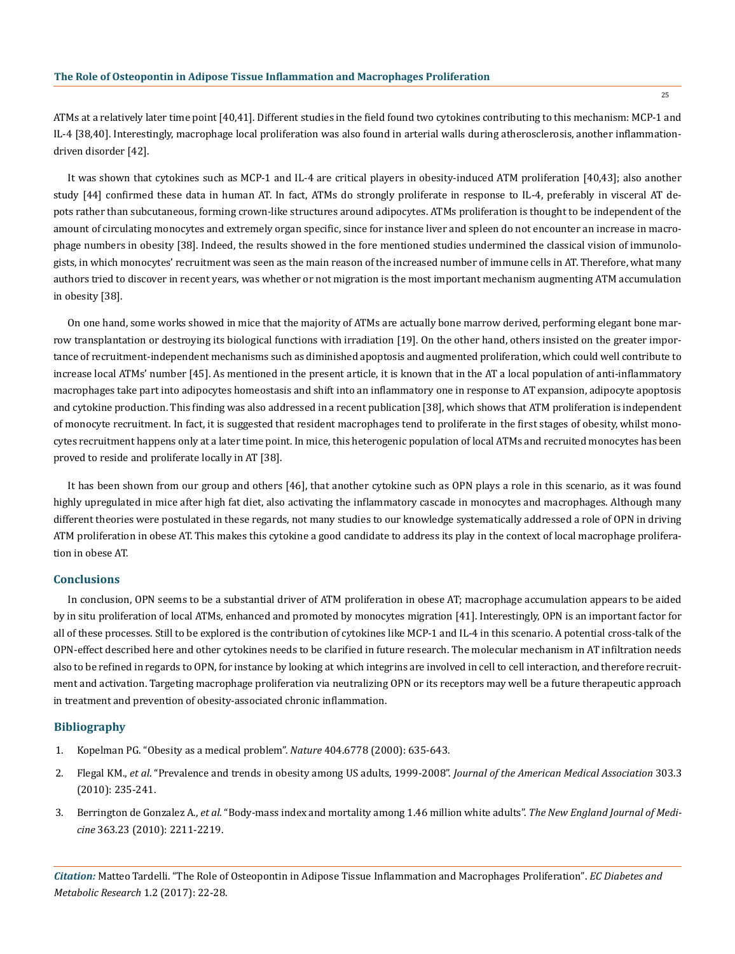ATMs at a relatively later time point [40,41]. Different studies in the field found two cytokines contributing to this mechanism: MCP-1 and IL-4 [38,40]. Interestingly, macrophage local proliferation was also found in arterial walls during atherosclerosis, another inflammationdriven disorder [42].

It was shown that cytokines such as MCP-1 and IL-4 are critical players in obesity-induced ATM proliferation [40,43]; also another study [44] confirmed these data in human AT. In fact, ATMs do strongly proliferate in response to IL-4, preferably in visceral AT depots rather than subcutaneous, forming crown-like structures around adipocytes. ATMs proliferation is thought to be independent of the amount of circulating monocytes and extremely organ specific, since for instance liver and spleen do not encounter an increase in macrophage numbers in obesity [38]. Indeed, the results showed in the fore mentioned studies undermined the classical vision of immunologists, in which monocytes' recruitment was seen as the main reason of the increased number of immune cells in AT. Therefore, what many authors tried to discover in recent years, was whether or not migration is the most important mechanism augmenting ATM accumulation in obesity [38].

On one hand, some works showed in mice that the majority of ATMs are actually bone marrow derived, performing elegant bone marrow transplantation or destroying its biological functions with irradiation [19]. On the other hand, others insisted on the greater importance of recruitment-independent mechanisms such as diminished apoptosis and augmented proliferation, which could well contribute to increase local ATMs' number [45]. As mentioned in the present article, it is known that in the AT a local population of anti-inflammatory macrophages take part into adipocytes homeostasis and shift into an inflammatory one in response to AT expansion, adipocyte apoptosis and cytokine production. This finding was also addressed in a recent publication [38], which shows that ATM proliferation is independent of monocyte recruitment. In fact, it is suggested that resident macrophages tend to proliferate in the first stages of obesity, whilst monocytes recruitment happens only at a later time point. In mice, this heterogenic population of local ATMs and recruited monocytes has been proved to reside and proliferate locally in AT [38].

It has been shown from our group and others [46], that another cytokine such as OPN plays a role in this scenario, as it was found highly upregulated in mice after high fat diet, also activating the inflammatory cascade in monocytes and macrophages. Although many different theories were postulated in these regards, not many studies to our knowledge systematically addressed a role of OPN in driving ATM proliferation in obese AT. This makes this cytokine a good candidate to address its play in the context of local macrophage proliferation in obese AT.

# **Conclusions**

In conclusion, OPN seems to be a substantial driver of ATM proliferation in obese AT; macrophage accumulation appears to be aided by in situ proliferation of local ATMs, enhanced and promoted by monocytes migration [41]. Interestingly, OPN is an important factor for all of these processes. Still to be explored is the contribution of cytokines like MCP-1 and IL-4 in this scenario. A potential cross-talk of the OPN-effect described here and other cytokines needs to be clarified in future research. The molecular mechanism in AT infiltration needs also to be refined in regards to OPN, for instance by looking at which integrins are involved in cell to cell interaction, and therefore recruitment and activation. Targeting macrophage proliferation via neutralizing OPN or its receptors may well be a future therapeutic approach in treatment and prevention of obesity-associated chronic inflammation.

## **Bibliography**

- 1. [Kopelman PG. "Obesity as a medical problem".](https://www.ncbi.nlm.nih.gov/pubmed/10766250) *Nature* 404.6778 (2000): 635-643.
- 2. Flegal KM., *et al*[. "Prevalence and trends in obesity among US adults, 1999-2008".](https://www.ncbi.nlm.nih.gov/pubmed/20071471) *Journal of the American Medical Association* 303.3 [\(2010\): 235-241.](https://www.ncbi.nlm.nih.gov/pubmed/20071471)
- 3. Berrington de Gonzalez A., *et al*[. "Body-mass index and mortality among 1.46 million white adults".](https://www.ncbi.nlm.nih.gov/pubmed/21121834) *The New England Journal of Medicine* [363.23 \(2010\): 2211-2219.](https://www.ncbi.nlm.nih.gov/pubmed/21121834)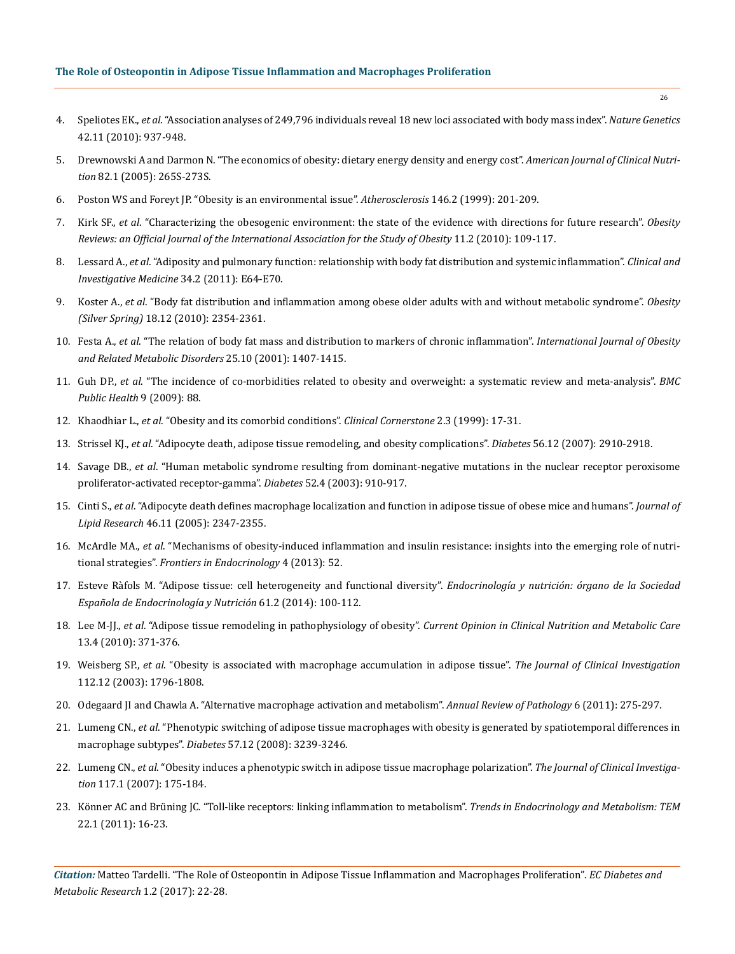- 4. Speliotes EK., *et al*[. "Association analyses of 249,796 individuals reveal 18 new loci associated with body mass index".](https://www.ncbi.nlm.nih.gov/pubmed/20935630) *Nature Genetics* [42.11 \(2010\): 937-948.](https://www.ncbi.nlm.nih.gov/pubmed/20935630)
- 5. [Drewnowski A and Darmon N. "The economics of obesity: dietary energy density and energy cost".](https://www.ncbi.nlm.nih.gov/pubmed/16002835) *American Journal of Clinical Nutrition* [82.1 \(2005\): 265S-273S.](https://www.ncbi.nlm.nih.gov/pubmed/16002835)
- 6. [Poston WS and Foreyt JP. "Obesity is an environmental issue".](https://www.ncbi.nlm.nih.gov/pubmed/10532676) *Atherosclerosis* 146.2 (1999): 201-209.
- 7. Kirk SF., *et al*[. "Characterizing the obesogenic environment: the state of the evidence with directions for future research".](https://www.ncbi.nlm.nih.gov/pubmed/19493302) *Obesity [Reviews: an Official Journal of the International Association for the Study of Obesity](https://www.ncbi.nlm.nih.gov/pubmed/19493302)* 11.2 (2010): 109-117.
- 8. Lessard A., *et al*[. "Adiposity and pulmonary function: relationship with body fat distribution and systemic inflammation".](http://cimonline.ca/index.php/cim/article/view/15102) *Clinical and [Investigative Medicine](http://cimonline.ca/index.php/cim/article/view/15102)* 34.2 (2011): E64-E70.
- 9. Koster A., *et al*[. "Body fat distribution and inflammation among obese older adults with and without metabolic syndrome".](https://www.ncbi.nlm.nih.gov/pubmed/20395951) *Obesity (Silver Spring)* [18.12 \(2010\): 2354-2361.](https://www.ncbi.nlm.nih.gov/pubmed/20395951)
- 10. Festa A., *et al*[. "The relation of body fat mass and distribution to markers of chronic inflammation".](https://www.ncbi.nlm.nih.gov/pubmed/11673759) *International Journal of Obesity [and Related Metabolic Disorders](https://www.ncbi.nlm.nih.gov/pubmed/11673759)* 25.10 (2001): 1407-1415.
- 11. Guh DP., *et al*[. "The incidence of co-morbidities related to obesity and overweight: a systematic review and meta-analysis".](https://www.ncbi.nlm.nih.gov/pubmed/19320986) *BMC [Public Health](https://www.ncbi.nlm.nih.gov/pubmed/19320986)* 9 (2009): 88.
- 12. Khaodhiar L., *et al*[. "Obesity and its comorbid conditions".](https://www.ncbi.nlm.nih.gov/pubmed/10696282) *Clinical Cornerstone* 2.3 (1999): 17-31.
- 13. Strissel KJ., *et al*[. "Adipocyte death, adipose tissue remodeling, and obesity complications".](https://www.ncbi.nlm.nih.gov/pubmed/17848624) *Diabetes* 56.12 (2007): 2910-2918.
- 14. Savage DB., *et al*[. "Human metabolic syndrome resulting from dominant-negative mutations in the nuclear receptor peroxisome](https://www.ncbi.nlm.nih.gov/pubmed/12663460)  [proliferator-activated receptor-gamma".](https://www.ncbi.nlm.nih.gov/pubmed/12663460) *Diabetes* 52.4 (2003): 910-917.
- 15. Cinti S., *et al*[. "Adipocyte death defines macrophage localization and function in adipose tissue of obese mice and humans".](https://www.ncbi.nlm.nih.gov/pubmed/16150820) *Journal of Lipid Research* [46.11 \(2005\): 2347-2355.](https://www.ncbi.nlm.nih.gov/pubmed/16150820)
- 16. McArdle MA., *et al*[. "Mechanisms of obesity-induced inflammation and insulin resistance: insights into the emerging role of nutri](https://www.ncbi.nlm.nih.gov/pubmed/23675368)tional strategies". *[Frontiers in Endocrinology](https://www.ncbi.nlm.nih.gov/pubmed/23675368)* 4 (2013): 52.
- 17. [Esteve Ràfols M. "Adipose tissue: cell heterogeneity and functional diversity".](https://www.ncbi.nlm.nih.gov/pubmed/23834768) *Endocrinología y nutrición: órgano de la Sociedad [Española de Endocrinología y Nutrición](https://www.ncbi.nlm.nih.gov/pubmed/23834768)* 61.2 (2014): 100-112.
- 18. Lee M-JJ., *et al*[. "Adipose tissue remodeling in pathophysiology of obesity".](https://www.ncbi.nlm.nih.gov/pubmed/20531178) *Current Opinion in Clinical Nutrition and Metabolic Care*  [13.4 \(2010\): 371-376.](https://www.ncbi.nlm.nih.gov/pubmed/20531178)
- 19. Weisberg SP., *et al*[. "Obesity is associated with macrophage accumulation in adipose tissue".](https://www.ncbi.nlm.nih.gov/pubmed/14679176) *The Journal of Clinical Investigation* [112.12 \(2003\): 1796-1808.](https://www.ncbi.nlm.nih.gov/pubmed/14679176)
- 20. [Odegaard JI and Chawla A. "Alternative macrophage activation and metabolism".](https://www.ncbi.nlm.nih.gov/pubmed/21034223) *Annual Review of Pathology* 6 (2011): 275-297.
- 21. Lumeng CN., *et al*[. "Phenotypic switching of adipose tissue macrophages with obesity is generated by spatiotemporal differences in](https://www.ncbi.nlm.nih.gov/pubmed/18829989)  macrophage subtypes". *Diabetes* [57.12 \(2008\): 3239-3246.](https://www.ncbi.nlm.nih.gov/pubmed/18829989)
- 22. Lumeng CN., *et al*[. "Obesity induces a phenotypic switch in adipose tissue macrophage polarization".](https://www.ncbi.nlm.nih.gov/pubmed/17200717) *The Journal of Clinical Investigation* [117.1 \(2007\): 175-184.](https://www.ncbi.nlm.nih.gov/pubmed/17200717)
- 23. [Könner AC and Brüning JC. "Toll-like receptors: linking inflammation to metabolism".](https://www.ncbi.nlm.nih.gov/pubmed/20888253) *Trends in Endocrinology and Metabolism: TEM* [22.1 \(2011\): 16-23.](https://www.ncbi.nlm.nih.gov/pubmed/20888253)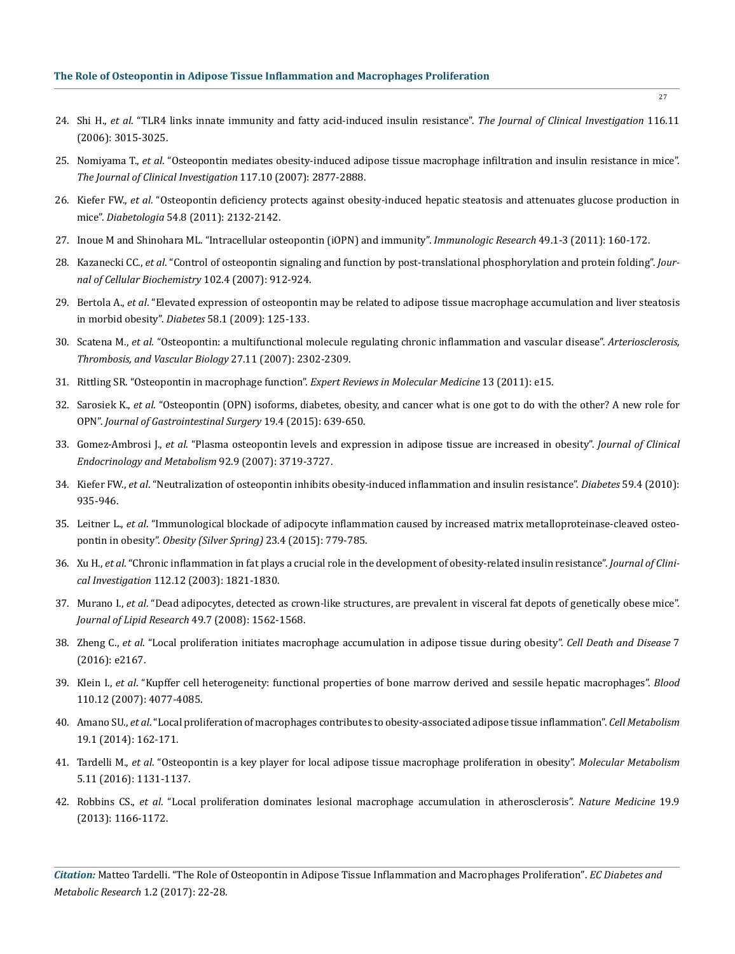- 24. Shi H., *et al*[. "TLR4 links innate immunity and fatty acid-induced insulin resistance".](https://www.ncbi.nlm.nih.gov/pubmed/17053832) *The Journal of Clinical Investigation* 116.11 [\(2006\): 3015-3025.](https://www.ncbi.nlm.nih.gov/pubmed/17053832)
- 25. Nomiyama T., *et al*[. "Osteopontin mediates obesity-induced adipose tissue macrophage infiltration and insulin resistance in mice".](https://www.ncbi.nlm.nih.gov/pubmed/17823662) *[The Journal of Clinical Investigation](https://www.ncbi.nlm.nih.gov/pubmed/17823662)* 117.10 (2007): 2877-2888.
- 26. Kiefer FW., *et al*[. "Osteopontin deficiency protects against obesity-induced hepatic steatosis and attenuates glucose production in](https://www.ncbi.nlm.nih.gov/pubmed/21562757) mice". *Diabetologia* [54.8 \(2011\): 2132-2142.](https://www.ncbi.nlm.nih.gov/pubmed/21562757)
- 27. [Inoue M and Shinohara ML. "Intracellular osteopontin \(iOPN\) and immunity".](https://www.ncbi.nlm.nih.gov/pubmed/21136203) *Immunologic Research* 49.1-3 (2011): 160-172.
- 28. Kazanecki CC., *et al*[. "Control of osteopontin signaling and function by post-translational phosphorylation and protein folding".](https://www.ncbi.nlm.nih.gov/pubmed/17910028) *Jour[nal of Cellular Biochemistry](https://www.ncbi.nlm.nih.gov/pubmed/17910028)* 102.4 (2007): 912-924.
- 29. Bertola A., *et al*[. "Elevated expression of osteopontin may be related to adipose tissue macrophage accumulation and liver steatosis](https://www.ncbi.nlm.nih.gov/pubmed/18952835) in morbid obesity". *Diabetes* [58.1 \(2009\): 125-133.](https://www.ncbi.nlm.nih.gov/pubmed/18952835)
- 30. Scatena M., *et al*[. "Osteopontin: a multifunctional molecule regulating chronic inflammation and vascular disease".](https://www.ncbi.nlm.nih.gov/pubmed/17717292) *Arteriosclerosis, [Thrombosis, and Vascular Biology](https://www.ncbi.nlm.nih.gov/pubmed/17717292)* 27.11 (2007): 2302-2309.
- 31. [Rittling SR. "Osteopontin in macrophage function".](https://www.ncbi.nlm.nih.gov/pubmed/21545755) *Expert Reviews in Molecular Medicine* 13 (2011): e15.
- 32. Sarosiek K., *et al*[. "Osteopontin \(OPN\) isoforms, diabetes, obesity, and cancer what is one got to do with the other? A new role for](https://www.ncbi.nlm.nih.gov/pubmed/25583441) OPN". *[Journal of Gastrointestinal Surgery](https://www.ncbi.nlm.nih.gov/pubmed/25583441)* 19.4 (2015): 639-650.
- 33. Gomez-Ambrosi J., *et al*[. "Plasma osteopontin levels and expression in adipose tissue are increased in obesity".](https://www.ncbi.nlm.nih.gov/pubmed/17595250) *Journal of Clinical [Endocrinology and Metabolism](https://www.ncbi.nlm.nih.gov/pubmed/17595250)* 92.9 (2007): 3719-3727.
- 34. Kiefer FW., *et al*[. "Neutralization of osteopontin inhibits obesity-induced inflammation and insulin resistance".](https://www.ncbi.nlm.nih.gov/pubmed/20107108) *Diabetes* 59.4 (2010): [935-946.](https://www.ncbi.nlm.nih.gov/pubmed/20107108)
- 35. Leitner L., *et al*[. "Immunological blockade of adipocyte inflammation caused by increased matrix metalloproteinase-cleaved osteo](https://www.ncbi.nlm.nih.gov/pubmed/25776538)pontin in obesity". *[Obesity \(Silver Spring\)](https://www.ncbi.nlm.nih.gov/pubmed/25776538)* 23.4 (2015): 779-785.
- 36. Xu H., *et al*[. "Chronic inflammation in fat plays a crucial role in the development of obesity-related insulin resistance".](https://www.ncbi.nlm.nih.gov/pubmed/14679177) *Journal of Clinical Investigation* [112.12 \(2003\): 1821-1830.](https://www.ncbi.nlm.nih.gov/pubmed/14679177)
- 37. Murano I., *et al*[. "Dead adipocytes, detected as crown-like structures, are prevalent in visceral fat depots of genetically obese mice".](https://www.ncbi.nlm.nih.gov/pubmed/18390487) *[Journal of Lipid Research](https://www.ncbi.nlm.nih.gov/pubmed/18390487)* 49.7 (2008): 1562-1568.
- 38. Zheng C., *et al*[. "Local proliferation initiates macrophage accumulation in adipose tissue during obesity".](https://www.ncbi.nlm.nih.gov/pubmed/27031964) *Cell Death and Disease* 7 [\(2016\): e2167.](https://www.ncbi.nlm.nih.gov/pubmed/27031964)
- 39. Klein I., *et al*[. "Kupffer cell heterogeneity: functional properties of bone marrow derived and sessile hepatic macrophages".](https://www.ncbi.nlm.nih.gov/pubmed/17690256) *Blood*  [110.12 \(2007\): 4077-4085.](https://www.ncbi.nlm.nih.gov/pubmed/17690256)
- 40. Amano SU., *et al*[. "Local proliferation of macrophages contributes to obesity-associated adipose tissue inflammation".](https://www.ncbi.nlm.nih.gov/pubmed/24374218) *Cell Metabolism* [19.1 \(2014\): 162-171.](https://www.ncbi.nlm.nih.gov/pubmed/24374218)
- 41. Tardelli M., *et al*[. "Osteopontin is a key player for local adipose tissue macrophage proliferation in obesity".](https://www.ncbi.nlm.nih.gov/pubmed/27818939) *Molecular Metabolism* [5.11 \(2016\): 1131-1137.](https://www.ncbi.nlm.nih.gov/pubmed/27818939)
- 42. Robbins CS., *et al*[. "Local proliferation dominates lesional macrophage accumulation in atherosclerosis".](https://www.ncbi.nlm.nih.gov/pubmed/23933982) *Nature Medicine* 19.9 [\(2013\): 1166-1172.](https://www.ncbi.nlm.nih.gov/pubmed/23933982)